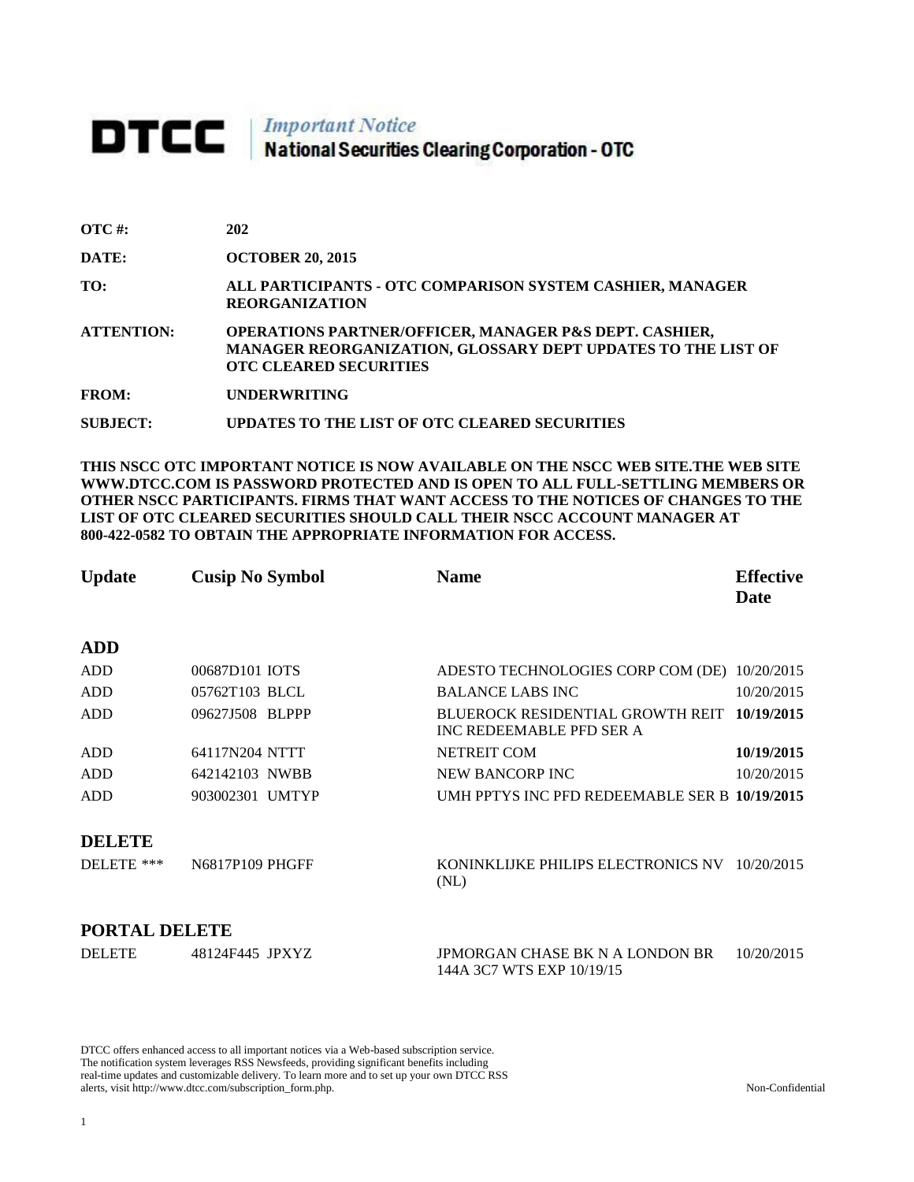# **DTCC** National Securities Clearing Corporation - OTC

| $\overline{OTC}$ #: | 202                                                                                                                                                                |
|---------------------|--------------------------------------------------------------------------------------------------------------------------------------------------------------------|
| DATE:               | <b>OCTOBER 20, 2015</b>                                                                                                                                            |
| TO:                 | ALL PARTICIPANTS - OTC COMPARISON SYSTEM CASHIER, MANAGER<br><b>REORGANIZATION</b>                                                                                 |
| <b>ATTENTION:</b>   | <b>OPERATIONS PARTNER/OFFICER, MANAGER P&amp;S DEPT. CASHIER,</b><br>MANAGER REORGANIZATION, GLOSSARY DEPT UPDATES TO THE LIST OF<br><b>OTC CLEARED SECURITIES</b> |
| <b>FROM:</b>        | <b>UNDERWRITING</b>                                                                                                                                                |
| SUBJECT:            | UPDATES TO THE LIST OF OTC CLEARED SECURITIES                                                                                                                      |

**THIS NSCC OTC IMPORTANT NOTICE IS NOW AVAILABLE ON THE NSCC WEB SITE.THE WEB SITE WWW.DTCC.COM IS PASSWORD PROTECTED AND IS OPEN TO ALL FULL-SETTLING MEMBERS OR OTHER NSCC PARTICIPANTS. FIRMS THAT WANT ACCESS TO THE NOTICES OF CHANGES TO THE LIST OF OTC CLEARED SECURITIES SHOULD CALL THEIR NSCC ACCOUNT MANAGER AT 800-422-0582 TO OBTAIN THE APPROPRIATE INFORMATION FOR ACCESS.** 

| <b>Update</b> | <b>Cusip No Symbol</b> | <b>Name</b>                                                  | <b>Effective</b><br>Date |
|---------------|------------------------|--------------------------------------------------------------|--------------------------|
| <b>ADD</b>    |                        |                                                              |                          |
| <b>ADD</b>    | 00687D101 IOTS         | ADESTO TECHNOLOGIES CORP COM (DE) 10/20/2015                 |                          |
| ADD           | 05762T103 BLCL         | <b>BALANCE LABS INC</b>                                      | 10/20/2015               |
| <b>ADD</b>    | 09627J508 BLPPP        | BLUEROCK RESIDENTIAL GROWTH REIT<br>INC REDEEMABLE PFD SER A | 10/19/2015               |
| ADD           | 64117N204 NTTT         | <b>NETREIT COM</b>                                           | 10/19/2015               |
| <b>ADD</b>    | 642142103 NWBB         | <b>NEW BANCORP INC</b>                                       | 10/20/2015               |
| <b>ADD</b>    | 903002301 UMTYP        | UMH PPTYS INC PFD REDEEMABLE SER B 10/19/2015                |                          |
| <b>DELETE</b> |                        |                                                              |                          |
| DELETE ***    | N6817P109 PHGFF        | KONINKLIJKE PHILIPS ELECTRONICS NV 10/20/2015<br>(NL)        |                          |
| PORTAL DELETE |                        |                                                              |                          |

| DELETE | 48124F445 JPXYZ | JPMORGAN CHASE BK N A LONDON BR | 10/20/2015 |
|--------|-----------------|---------------------------------|------------|
|        |                 | 144A 3C7 WTS EXP 10/19/15       |            |

DTCC offers enhanced access to all important notices via a Web-based subscription service. The notification system leverages RSS Newsfeeds, providing significant benefits including real-time updates and customizable delivery. To learn more and to set up your own DTCC RSS alerts, visit http://www.dtcc.com/subscription\_form.php. Non-Confidential